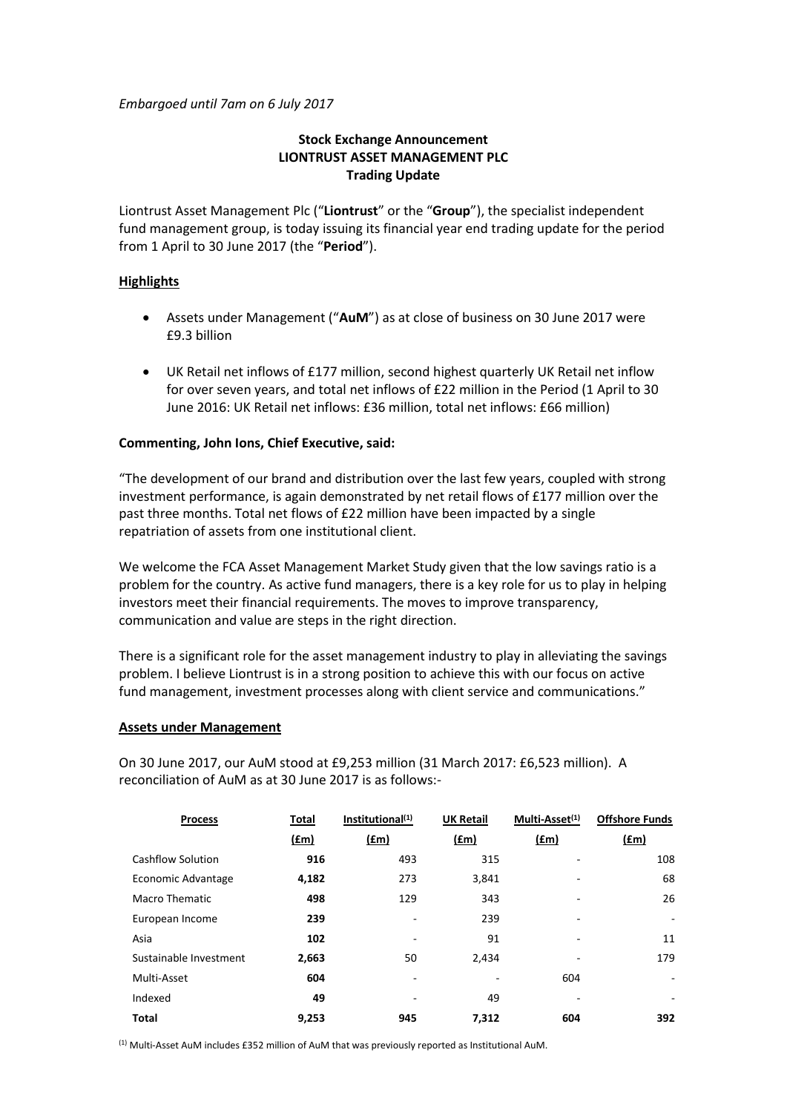*Embargoed until 7am on 6 July 2017*

# **Stock Exchange Announcement LIONTRUST ASSET MANAGEMENT PLC Trading Update**

Liontrust Asset Management Plc ("**Liontrust**" or the "**Group**"), the specialist independent fund management group, is today issuing its financial year end trading update for the period from 1 April to 30 June 2017 (the "**Period**").

## **Highlights**

- Assets under Management ("**AuM**") as at close of business on 30 June 2017 were £9.3 billion
- UK Retail net inflows of £177 million, second highest quarterly UK Retail net inflow for over seven years, and total net inflows of £22 million in the Period (1 April to 30 June 2016: UK Retail net inflows: £36 million, total net inflows: £66 million)

# **Commenting, John Ions, Chief Executive, said:**

"The development of our brand and distribution over the last few years, coupled with strong investment performance, is again demonstrated by net retail flows of £177 million over the past three months. Total net flows of £22 million have been impacted by a single repatriation of assets from one institutional client.

We welcome the FCA Asset Management Market Study given that the low savings ratio is a problem for the country. As active fund managers, there is a key role for us to play in helping investors meet their financial requirements. The moves to improve transparency, communication and value are steps in the right direction.

There is a significant role for the asset management industry to play in alleviating the savings problem. I believe Liontrust is in a strong position to achieve this with our focus on active fund management, investment processes along with client service and communications."

## **Assets under Management**

On 30 June 2017, our AuM stood at £9,253 million (31 March 2017: £6,523 million). A reconciliation of AuM as at 30 June 2017 is as follows:-

| <b>Process</b>         | Total | Institutional <sup>(1)</sup> | <b>UK Retail</b> | Multi-Asset <sup>(1)</sup> | <b>Offshore Funds</b>    |
|------------------------|-------|------------------------------|------------------|----------------------------|--------------------------|
|                        | f(m)  | (fm)                         | (£m)             | (fm)                       | <u>(£m)</u>              |
| Cashflow Solution      | 916   | 493                          | 315              |                            | 108                      |
| Economic Advantage     | 4,182 | 273                          | 3,841            |                            | 68                       |
| <b>Macro Thematic</b>  | 498   | 129                          | 343              |                            | 26                       |
| European Income        | 239   | ۰                            | 239              | ٠                          | $\overline{\phantom{0}}$ |
| Asia                   | 102   |                              | 91               |                            | 11                       |
| Sustainable Investment | 2,663 | 50                           | 2,434            |                            | 179                      |
| Multi-Asset            | 604   | ٠                            | -                | 604                        | ٠                        |
| Indexed                | 49    |                              | 49               | ۰                          | ۰                        |
| <b>Total</b>           | 9,253 | 945                          | 7,312            | 604                        | 392                      |

(1) Multi-Asset AuM includes £352 million of AuM that was previously reported as Institutional AuM.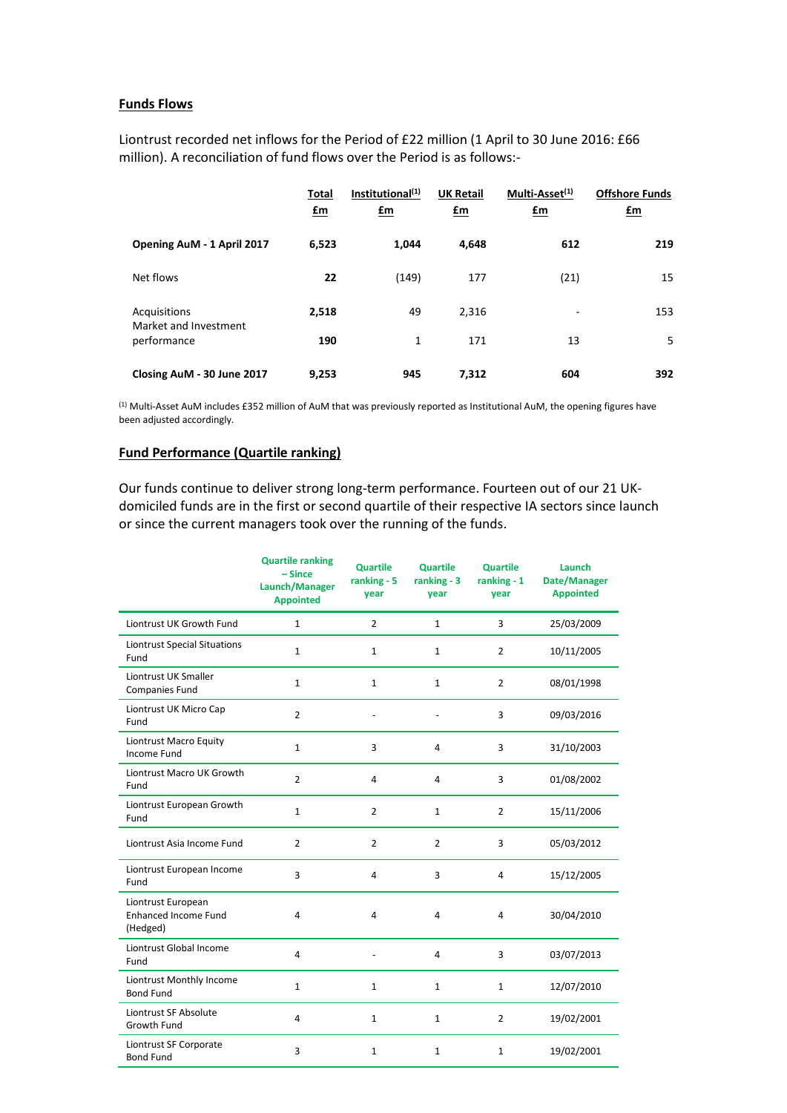#### **Funds Flows**

Liontrust recorded net inflows for the Period of £22 million (1 April to 30 June 2016: £66 million). A reconciliation of fund flows over the Period is as follows:-

|                                       | <b>Total</b><br>$\mathbf{f}$ m | Institutional <sup>(1)</sup><br>$\mathbf{f}$ m | <b>UK Retail</b><br>$\mathbf{f}$ m | Multi-Asset <sup>(1)</sup><br>$\mathbf{f}$ m | <b>Offshore Funds</b><br>£m |
|---------------------------------------|--------------------------------|------------------------------------------------|------------------------------------|----------------------------------------------|-----------------------------|
| Opening AuM - 1 April 2017            | 6,523                          | 1.044                                          | 4,648                              | 612                                          | 219                         |
| Net flows                             | 22                             | (149)                                          | 177                                | (21)                                         | 15                          |
| Acquisitions<br>Market and Investment | 2,518                          | 49                                             | 2,316                              | ۰                                            | 153                         |
| performance                           | 190                            | $\mathbf{1}$                                   | 171                                | 13                                           | 5                           |
| Closing AuM - 30 June 2017            | 9,253                          | 945                                            | 7,312                              | 604                                          | 392                         |

(1) Multi-Asset AuM includes £352 million of AuM that was previously reported as Institutional AuM, the opening figures have been adjusted accordingly.

#### **Fund Performance (Quartile ranking)**

Our funds continue to deliver strong long-term performance. Fourteen out of our 21 UKdomiciled funds are in the first or second quartile of their respective IA sectors since launch or since the current managers took over the running of the funds.

|                                                               | <b>Quartile ranking</b><br>$-Since$<br>Launch/Manager<br><b>Appointed</b> | <b>Quartile</b><br>ranking - 5<br>year | <b>Quartile</b><br>ranking - 3<br>year | <b>Quartile</b><br>ranking $-1$<br>year | Launch<br>Date/Manager<br><b>Appointed</b> |
|---------------------------------------------------------------|---------------------------------------------------------------------------|----------------------------------------|----------------------------------------|-----------------------------------------|--------------------------------------------|
| Liontrust UK Growth Fund                                      | $\mathbf{1}$                                                              | $\overline{2}$                         | $\mathbf{1}$                           | 3                                       | 25/03/2009                                 |
| Liontrust Special Situations<br>Fund                          | $\mathbf 1$                                                               | $\mathbf{1}$                           | $\mathbf{1}$                           | $\overline{2}$                          | 10/11/2005                                 |
| Liontrust UK Smaller<br>Companies Fund                        | $\mathbf{1}$                                                              | $\mathbf{1}$                           | $\mathbf{1}$                           | $\overline{2}$                          | 08/01/1998                                 |
| Liontrust UK Micro Cap<br>Fund                                | $\overline{2}$                                                            |                                        |                                        | 3                                       | 09/03/2016                                 |
| Liontrust Macro Equity<br><b>Income Fund</b>                  | $\mathbf{1}$                                                              | 3                                      | $\overline{4}$                         | 3                                       | 31/10/2003                                 |
| Liontrust Macro UK Growth<br>Fund                             | $\overline{2}$                                                            | 4                                      | $\overline{4}$                         | 3                                       | 01/08/2002                                 |
| Liontrust European Growth<br>Fund                             | $\mathbf{1}$                                                              | $\overline{2}$                         | $\mathbf{1}$                           | $\overline{2}$                          | 15/11/2006                                 |
| Liontrust Asia Income Fund                                    | $\overline{2}$                                                            | $\overline{2}$                         | $\overline{2}$                         | 3                                       | 05/03/2012                                 |
| Liontrust European Income<br>Fund                             | 3                                                                         | 4                                      | 3                                      | 4                                       | 15/12/2005                                 |
| Liontrust European<br><b>Enhanced Income Fund</b><br>(Hedged) | $\overline{4}$                                                            | 4                                      | $\overline{4}$                         | 4                                       | 30/04/2010                                 |
| Liontrust Global Income<br>Fund                               | $\overline{4}$                                                            |                                        | 4                                      | 3                                       | 03/07/2013                                 |
| Liontrust Monthly Income<br><b>Bond Fund</b>                  | $\mathbf{1}$                                                              | $\mathbf{1}$                           | $\mathbf{1}$                           | $\mathbf{1}$                            | 12/07/2010                                 |
| Liontrust SF Absolute<br>Growth Fund                          | $\overline{4}$                                                            | $\mathbf{1}$                           | $\mathbf{1}$                           | $\overline{2}$                          | 19/02/2001                                 |
| Liontrust SF Corporate<br><b>Bond Fund</b>                    | $\overline{3}$                                                            | $\mathbf{1}$                           | $\mathbf{1}$                           | $\mathbf{1}$                            | 19/02/2001                                 |